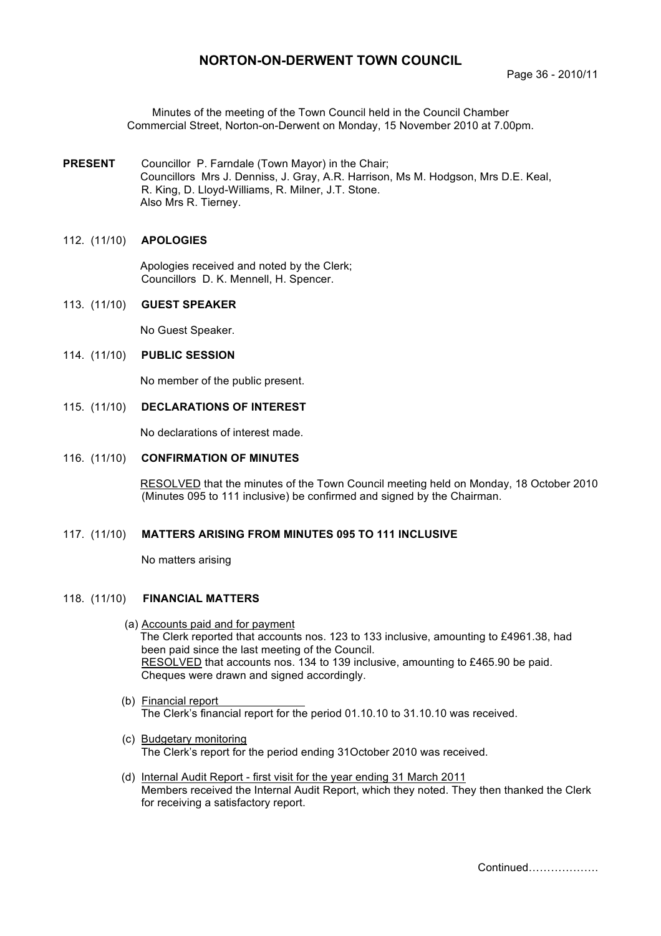# **NORTON-ON-DERWENT TOWN COUNCIL**

Minutes of the meeting of the Town Council held in the Council Chamber Commercial Street, Norton-on-Derwent on Monday, 15 November 2010 at 7.00pm.

**PRESENT** Councillor P. Farndale (Town Mayor) in the Chair; Councillors Mrs J. Denniss, J. Gray, A.R. Harrison, Ms M. Hodgson, Mrs D.E. Keal, R. King, D. Lloyd-Williams, R. Milner, J.T. Stone. Also Mrs R. Tierney.

#### 112. (11/10) **APOLOGIES**

 Apologies received and noted by the Clerk; Councillors D. K. Mennell, H. Spencer.

113. (11/10) **GUEST SPEAKER** 

No Guest Speaker.

#### 114. (11/10) **PUBLIC SESSION**

No member of the public present.

115. (11/10) **DECLARATIONS OF INTEREST**

No declarations of interest made.

#### 116. (11/10) **CONFIRMATION OF MINUTES**

 RESOLVED that the minutes of the Town Council meeting held on Monday, 18 October 2010 (Minutes 095 to 111 inclusive) be confirmed and signed by the Chairman.

# 117. (11/10) **MATTERS ARISING FROM MINUTES 095 TO 111 INCLUSIVE**

No matters arising

#### 118. (11/10) **FINANCIAL MATTERS**

- (a) Accounts paid and for payment The Clerk reported that accounts nos. 123 to 133 inclusive, amounting to £4961.38, had been paid since the last meeting of the Council. RESOLVED that accounts nos. 134 to 139 inclusive, amounting to £465.90 be paid. Cheques were drawn and signed accordingly.
- (b) Financial report The Clerk's financial report for the period 01.10.10 to 31.10.10 was received.
- (c) Budgetary monitoring The Clerk's report for the period ending 31October 2010 was received.
- (d) Internal Audit Report first visit for the year ending 31 March 2011 Members received the Internal Audit Report, which they noted. They then thanked the Clerk for receiving a satisfactory report.

Continued……………….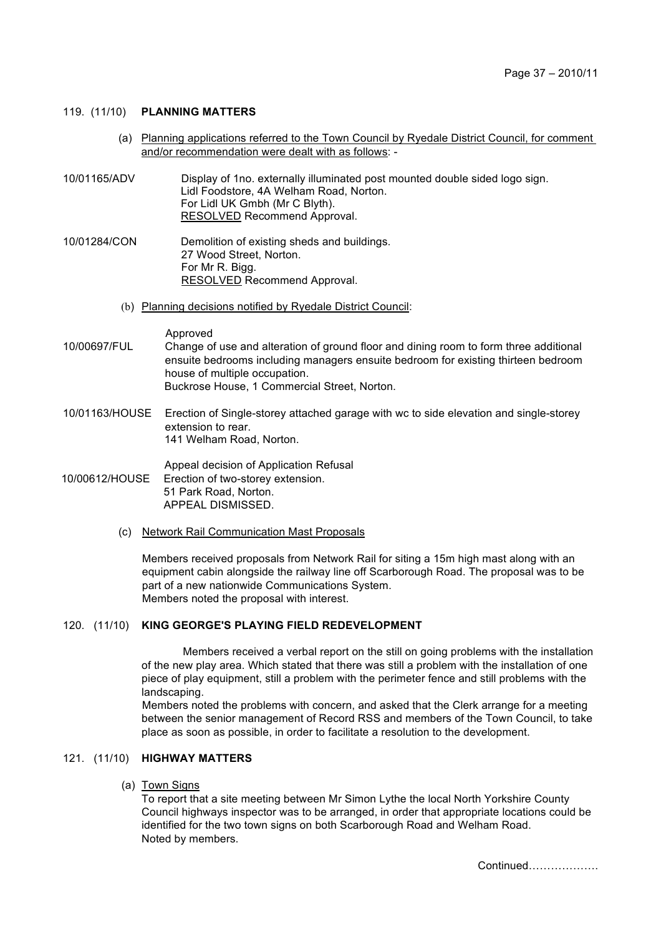### 119. (11/10) **PLANNING MATTERS**

- (a) Planning applications referred to the Town Council by Ryedale District Council, for comment and/or recommendation were dealt with as follows: -
- 10/01165/ADV Display of 1no. externally illuminated post mounted double sided logo sign. Lidl Foodstore, 4A Welham Road, Norton. For Lidl UK Gmbh (Mr C Blyth). RESOLVED Recommend Approval.
- 10/01284/CON Demolition of existing sheds and buildings. 27 Wood Street, Norton. For Mr R. Bigg. RESOLVED Recommend Approval.
	- (b) Planning decisions notified by Ryedale District Council:

Approved

- 10/00697/FUL Change of use and alteration of ground floor and dining room to form three additional ensuite bedrooms including managers ensuite bedroom for existing thirteen bedroom house of multiple occupation. Buckrose House, 1 Commercial Street, Norton.
- 10/01163/HOUSE Erection of Single-storey attached garage with wc to side elevation and single-storey extension to rear. 141 Welham Road, Norton.

Appeal decision of Application Refusal 10/00612/HOUSE Erection of two-storey extension. 51 Park Road, Norton. APPEAL DISMISSED.

(c) Network Rail Communication Mast Proposals

Members received proposals from Network Rail for siting a 15m high mast along with an equipment cabin alongside the railway line off Scarborough Road. The proposal was to be part of a new nationwide Communications System. Members noted the proposal with interest.

# 120. (11/10) **KING GEORGE'S PLAYING FIELD REDEVELOPMENT**

Members received a verbal report on the still on going problems with the installation of the new play area. Which stated that there was still a problem with the installation of one piece of play equipment, still a problem with the perimeter fence and still problems with the landscaping.

Members noted the problems with concern, and asked that the Clerk arrange for a meeting between the senior management of Record RSS and members of the Town Council, to take place as soon as possible, in order to facilitate a resolution to the development.

#### 121. (11/10) **HIGHWAY MATTERS**

(a) Town Signs

To report that a site meeting between Mr Simon Lythe the local North Yorkshire County Council highways inspector was to be arranged, in order that appropriate locations could be identified for the two town signs on both Scarborough Road and Welham Road. Noted by members.

Continued……………….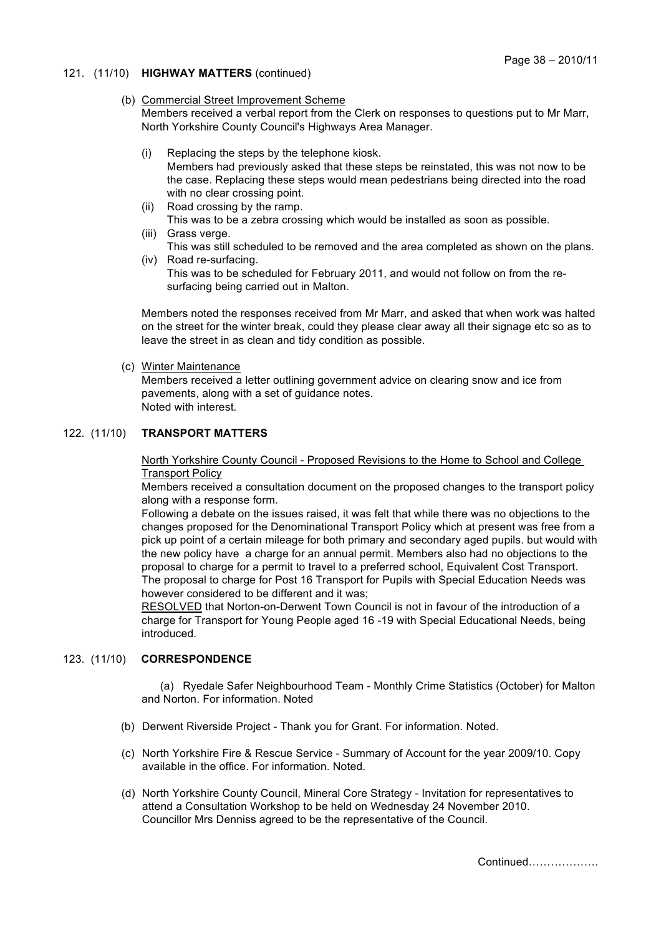### 121. (11/10) **HIGHWAY MATTERS** (continued)

#### (b) Commercial Street Improvement Scheme

Members received a verbal report from the Clerk on responses to questions put to Mr Marr, North Yorkshire County Council's Highways Area Manager.

- (i) Replacing the steps by the telephone kiosk.
	- Members had previously asked that these steps be reinstated, this was not now to be the case. Replacing these steps would mean pedestrians being directed into the road with no clear crossing point.
- (ii) Road crossing by the ramp. This was to be a zebra crossing which would be installed as soon as possible.
- (iii) Grass verge. This was still scheduled to be removed and the area completed as shown on the plans.
- (iv) Road re-surfacing. This was to be scheduled for February 2011, and would not follow on from the resurfacing being carried out in Malton.

Members noted the responses received from Mr Marr, and asked that when work was halted on the street for the winter break, could they please clear away all their signage etc so as to leave the street in as clean and tidy condition as possible.

(c) Winter Maintenance

Members received a letter outlining government advice on clearing snow and ice from pavements, along with a set of guidance notes. Noted with interest.

# 122. (11/10) **TRANSPORT MATTERS**

North Yorkshire County Council - Proposed Revisions to the Home to School and College Transport Policy

Members received a consultation document on the proposed changes to the transport policy along with a response form.

Following a debate on the issues raised, it was felt that while there was no objections to the changes proposed for the Denominational Transport Policy which at present was free from a pick up point of a certain mileage for both primary and secondary aged pupils. but would with the new policy have a charge for an annual permit. Members also had no objections to the proposal to charge for a permit to travel to a preferred school, Equivalent Cost Transport. The proposal to charge for Post 16 Transport for Pupils with Special Education Needs was however considered to be different and it was;

RESOLVED that Norton-on-Derwent Town Council is not in favour of the introduction of a charge for Transport for Young People aged 16 -19 with Special Educational Needs, being introduced.

# 123. (11/10) **CORRESPONDENCE**

 (a) Ryedale Safer Neighbourhood Team - Monthly Crime Statistics (October) for Malton and Norton. For information. Noted

- (b) Derwent Riverside Project Thank you for Grant. For information. Noted.
- (c) North Yorkshire Fire & Rescue Service Summary of Account for the year 2009/10. Copy available in the office. For information. Noted.
- (d) North Yorkshire County Council, Mineral Core Strategy Invitation for representatives to attend a Consultation Workshop to be held on Wednesday 24 November 2010. Councillor Mrs Denniss agreed to be the representative of the Council.

Continued……………….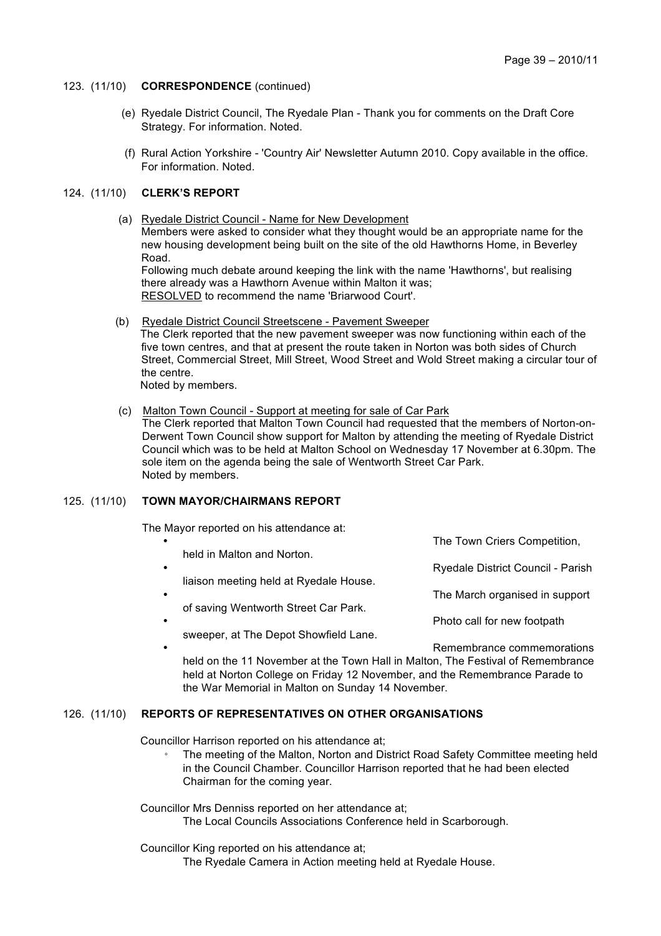#### 123. (11/10) **CORRESPONDENCE** (continued)

- (e) Ryedale District Council, The Ryedale Plan Thank you for comments on the Draft Core Strategy. For information. Noted.
- (f) Rural Action Yorkshire 'Country Air' Newsletter Autumn 2010. Copy available in the office. For information. Noted.

### 124. (11/10) **CLERK'S REPORT**

 (a) Ryedale District Council - Name for New Development Members were asked to consider what they thought would be an appropriate name for the new housing development being built on the site of the old Hawthorns Home, in Beverley Road.

Following much debate around keeping the link with the name 'Hawthorns', but realising there already was a Hawthorn Avenue within Malton it was; RESOLVED to recommend the name 'Briarwood Court'.

(b) Ryedale District Council Streetscene - Pavement Sweeper

The Clerk reported that the new pavement sweeper was now functioning within each of the five town centres, and that at present the route taken in Norton was both sides of Church Street, Commercial Street, Mill Street, Wood Street and Wold Street making a circular tour of the centre.

Noted by members.

(c) Malton Town Council - Support at meeting for sale of Car Park

The Clerk reported that Malton Town Council had requested that the members of Norton-on-Derwent Town Council show support for Malton by attending the meeting of Ryedale District Council which was to be held at Malton School on Wednesday 17 November at 6.30pm. The sole item on the agenda being the sale of Wentworth Street Car Park. Noted by members.

# 125. (11/10) **TOWN MAYOR/CHAIRMANS REPORT**

The Mayor reported on his attendance at:

- The Town Criers Competition, held in Malton and Norton. • Ryedale District Council - Parish liaison meeting held at Ryedale House. The March organised in support of saving Wentworth Street Car Park. Photo call for new footpath sweeper, at The Depot Showfield Lane.
- Remembrance commemorations held on the 11 November at the Town Hall in Malton, The Festival of Remembrance held at Norton College on Friday 12 November, and the Remembrance Parade to the War Memorial in Malton on Sunday 14 November.

# 126. (11/10) **REPORTS OF REPRESENTATIVES ON OTHER ORGANISATIONS**

Councillor Harrison reported on his attendance at;

The meeting of the Malton, Norton and District Road Safety Committee meeting held in the Council Chamber. Councillor Harrison reported that he had been elected Chairman for the coming year.

Councillor Mrs Denniss reported on her attendance at; The Local Councils Associations Conference held in Scarborough.

Councillor King reported on his attendance at;

The Ryedale Camera in Action meeting held at Ryedale House.